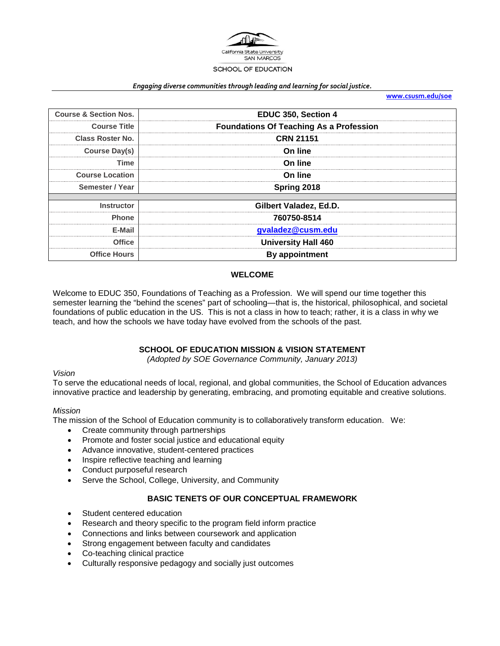

#### *Engaging diverse communities through leading and learning for social justice.*

**[www.csusm.edu/soe](http://www.csusm.edu/soe)**

| <b>Course &amp; Section Nos.</b> | EDUC 350, Section 4                            |  |
|----------------------------------|------------------------------------------------|--|
| <b>Course Title</b>              | <b>Foundations Of Teaching As a Profession</b> |  |
| <b>Class Roster No.</b>          | <b>CRN 21151</b>                               |  |
| Course Day(s)                    | On line                                        |  |
| Time                             | On line                                        |  |
| <b>Course Location</b>           | On line                                        |  |
| Semester / Year                  | Spring 2018                                    |  |
| <b>Instructor</b>                | Gilbert Valadez, Ed.D.                         |  |
| <b>Phone</b>                     | 760750-8514                                    |  |
| E-Mail                           | gvaladez@cusm.edu                              |  |
| Office                           | <b>University Hall 460</b>                     |  |
| <b>Office Hours</b>              | By appointment                                 |  |

#### **WELCOME**

Welcome to EDUC 350, Foundations of Teaching as a Profession. We will spend our time together this semester learning the "behind the scenes" part of schooling—that is, the historical, philosophical, and societal foundations of public education in the US. This is not a class in how to teach; rather, it is a class in why we teach, and how the schools we have today have evolved from the schools of the past.

## **SCHOOL OF EDUCATION MISSION & VISION STATEMENT**

*(Adopted by SOE Governance Community, January 2013)*

#### *Vision*

To serve the educational needs of local, regional, and global communities, the School of Education advances innovative practice and leadership by generating, embracing, and promoting equitable and creative solutions.

#### *Mission*

The mission of the School of Education community is to collaboratively transform education. We:

- Create community through partnerships
- Promote and foster social justice and educational equity
- Advance innovative, student-centered practices
- Inspire reflective teaching and learning
- Conduct purposeful research
- Serve the School, College, University, and Community

#### **BASIC TENETS OF OUR CONCEPTUAL FRAMEWORK**

- Student centered education
- Research and theory specific to the program field inform practice
- Connections and links between coursework and application
- Strong engagement between faculty and candidates
- Co-teaching clinical practice
- Culturally responsive pedagogy and socially just outcomes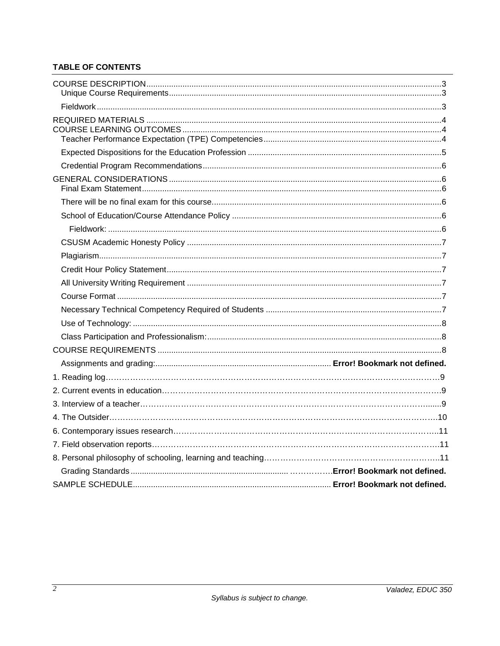## **TABLE OF CONTENTS**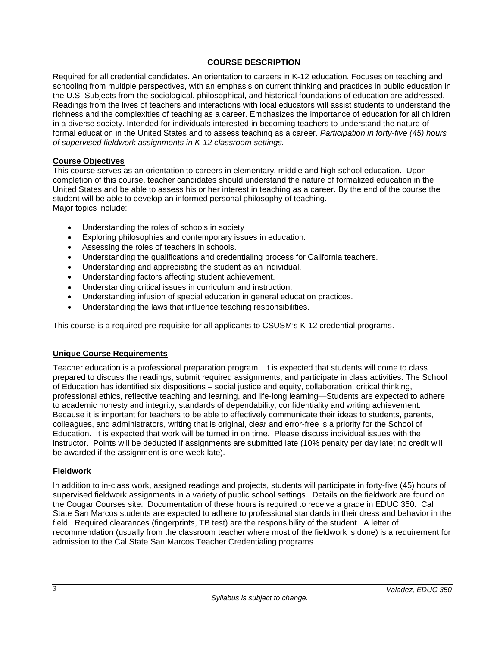#### **COURSE DESCRIPTION**

Required for all credential candidates. An orientation to careers in K-12 education. Focuses on teaching and schooling from multiple perspectives, with an emphasis on current thinking and practices in public education in the U.S. Subjects from the sociological, philosophical, and historical foundations of education are addressed. Readings from the lives of teachers and interactions with local educators will assist students to understand the richness and the complexities of teaching as a career. Emphasizes the importance of education for all children in a diverse society. Intended for individuals interested in becoming teachers to understand the nature of formal education in the United States and to assess teaching as a career. *Participation in forty-five (45) hours of supervised fieldwork assignments in K-12 classroom settings.*

#### **Course Objectives**

This course serves as an orientation to careers in elementary, middle and high school education. Upon completion of this course, teacher candidates should understand the nature of formalized education in the United States and be able to assess his or her interest in teaching as a career. By the end of the course the student will be able to develop an informed personal philosophy of teaching. Major topics include:

- Understanding the roles of schools in society
- Exploring philosophies and contemporary issues in education.
- Assessing the roles of teachers in schools.
- Understanding the qualifications and credentialing process for California teachers.
- Understanding and appreciating the student as an individual.
- Understanding factors affecting student achievement.
- Understanding critical issues in curriculum and instruction.
- Understanding infusion of special education in general education practices.
- Understanding the laws that influence teaching responsibilities.

This course is a required pre-requisite for all applicants to CSUSM's K-12 credential programs.

#### **Unique Course Requirements**

Teacher education is a professional preparation program. It is expected that students will come to class prepared to discuss the readings, submit required assignments, and participate in class activities. The School of Education has identified six dispositions – social justice and equity, collaboration, critical thinking, professional ethics, reflective teaching and learning, and life-long learning—Students are expected to adhere to academic honesty and integrity, standards of dependability, confidentiality and writing achievement. Because it is important for teachers to be able to effectively communicate their ideas to students, parents, colleagues, and administrators, writing that is original, clear and error-free is a priority for the School of Education. It is expected that work will be turned in on time. Please discuss individual issues with the instructor. Points will be deducted if assignments are submitted late (10% penalty per day late; no credit will be awarded if the assignment is one week late).

#### **Fieldwork**

In addition to in-class work, assigned readings and projects, students will participate in forty-five (45) hours of supervised fieldwork assignments in a variety of public school settings. Details on the fieldwork are found on the Cougar Courses site. Documentation of these hours is required to receive a grade in EDUC 350. Cal State San Marcos students are expected to adhere to professional standards in their dress and behavior in the field. Required clearances (fingerprints, TB test) are the responsibility of the student. A letter of recommendation (usually from the classroom teacher where most of the fieldwork is done) is a requirement for admission to the Cal State San Marcos Teacher Credentialing programs.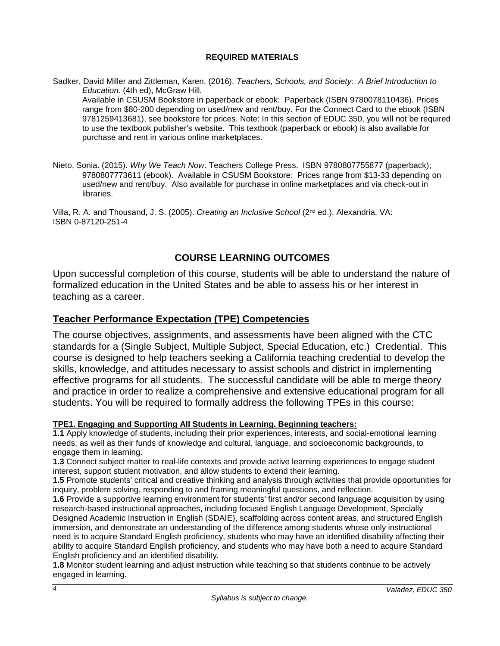#### **REQUIRED MATERIALS**

Sadker, David Miller and Zittleman, Karen. (2016). *Teachers, Schools, and Society: A Brief Introduction to Education.* (4th ed), McGraw Hill.

Available in CSUSM Bookstore in paperback or ebook: Paperback (ISBN 9780078110436). Prices range from \$80-200 depending on used/new and rent/buy. For the Connect Card to the ebook (ISBN 9781259413681), see bookstore for prices. Note: In this section of EDUC 350, you will not be required to use the textbook publisher's website. This textbook (paperback or ebook) is also available for purchase and rent in various online marketplaces.

Nieto, Sonia. (2015). *Why We Teach Now*. Teachers College Press. ISBN 9780807755877 (paperback); 9780807773611 (ebook). Available in CSUSM Bookstore: Prices range from \$13-33 depending on used/new and rent/buy. Also available for purchase in online marketplaces and via check-out in libraries.

Villa, R. A. and Thousand, J. S. (2005). *Creating an Inclusive School* (2nd ed.). Alexandria, VA: ISBN 0-87120-251-4

# **COURSE LEARNING OUTCOMES**

Upon successful completion of this course, students will be able to understand the nature of formalized education in the United States and be able to assess his or her interest in teaching as a career.

# **Teacher Performance Expectation (TPE) Competencies**

The course objectives, assignments, and assessments have been aligned with the CTC standards for a (Single Subject, Multiple Subject, Special Education, etc.) Credential. This course is designed to help teachers seeking a California teaching credential to develop the skills, knowledge, and attitudes necessary to assist schools and district in implementing effective programs for all students. The successful candidate will be able to merge theory and practice in order to realize a comprehensive and extensive educational program for all students. You will be required to formally address the following TPEs in this course:

## **TPE1. Engaging and Supporting All Students in Learning. Beginning teachers:**

**1.1** Apply knowledge of students, including their prior experiences, interests, and social-emotional learning needs, as well as their funds of knowledge and cultural, language, and socioeconomic backgrounds, to engage them in learning.

**1.3** Connect subject matter to real-life contexts and provide active learning experiences to engage student interest, support student motivation, and allow students to extend their learning.

**1.5** Promote students' critical and creative thinking and analysis through activities that provide opportunities for inquiry, problem solving, responding to and framing meaningful questions, and reflection.

**1.6** Provide a supportive learning environment for students' first and/or second language acquisition by using research-based instructional approaches, including focused English Language Development, Specially Designed Academic Instruction in English (SDAIE), scaffolding across content areas, and structured English immersion, and demonstrate an understanding of the difference among students whose only instructional need is to acquire Standard English proficiency, students who may have an identified disability affecting their ability to acquire Standard English proficiency, and students who may have both a need to acquire Standard English proficiency and an identified disability.

**1.8** Monitor student learning and adjust instruction while teaching so that students continue to be actively engaged in learning.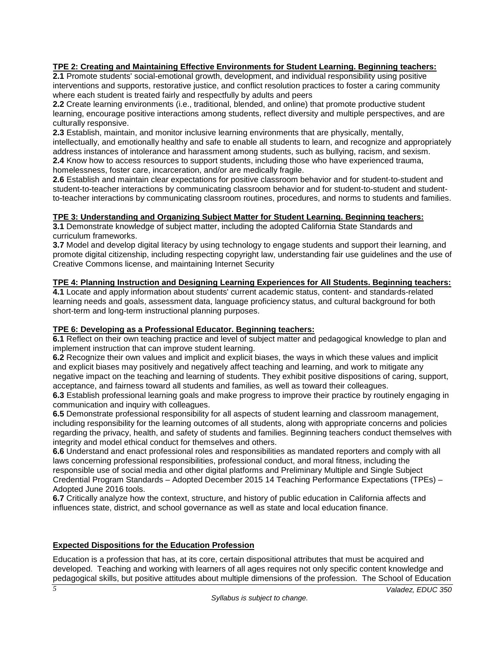### **TPE 2: Creating and Maintaining Effective Environments for Student Learning. Beginning teachers:**

**2.1** Promote students' social-emotional growth, development, and individual responsibility using positive interventions and supports, restorative justice, and conflict resolution practices to foster a caring community where each student is treated fairly and respectfully by adults and peers

**2.2** Create learning environments (i.e., traditional, blended, and online) that promote productive student learning, encourage positive interactions among students, reflect diversity and multiple perspectives, and are culturally responsive.

**2.3** Establish, maintain, and monitor inclusive learning environments that are physically, mentally, intellectually, and emotionally healthy and safe to enable all students to learn, and recognize and appropriately address instances of intolerance and harassment among students, such as bullying, racism, and sexism. **2.4** Know how to access resources to support students, including those who have experienced trauma, homelessness, foster care, incarceration, and/or are medically fragile.

**2.6** Establish and maintain clear expectations for positive classroom behavior and for student-to-student and student-to-teacher interactions by communicating classroom behavior and for student-to-student and studentto-teacher interactions by communicating classroom routines, procedures, and norms to students and families.

#### **TPE 3: Understanding and Organizing Subject Matter for Student Learning. Beginning teachers:**

**3.1** Demonstrate knowledge of subject matter, including the adopted California State Standards and curriculum frameworks.

**3.7** Model and develop digital literacy by using technology to engage students and support their learning, and promote digital citizenship, including respecting copyright law, understanding fair use guidelines and the use of Creative Commons license, and maintaining Internet Security

### **TPE 4: Planning Instruction and Designing Learning Experiences for All Students. Beginning teachers:**

**4.1** Locate and apply information about students' current academic status, content- and standards-related learning needs and goals, assessment data, language proficiency status, and cultural background for both short-term and long-term instructional planning purposes.

#### **TPE 6: Developing as a Professional Educator. Beginning teachers:**

**6.1** Reflect on their own teaching practice and level of subject matter and pedagogical knowledge to plan and implement instruction that can improve student learning.

**6.2** Recognize their own values and implicit and explicit biases, the ways in which these values and implicit and explicit biases may positively and negatively affect teaching and learning, and work to mitigate any negative impact on the teaching and learning of students. They exhibit positive dispositions of caring, support, acceptance, and fairness toward all students and families, as well as toward their colleagues.

**6.3** Establish professional learning goals and make progress to improve their practice by routinely engaging in communication and inquiry with colleagues.

**6.5** Demonstrate professional responsibility for all aspects of student learning and classroom management, including responsibility for the learning outcomes of all students, along with appropriate concerns and policies regarding the privacy, health, and safety of students and families. Beginning teachers conduct themselves with integrity and model ethical conduct for themselves and others.

**6.6** Understand and enact professional roles and responsibilities as mandated reporters and comply with all laws concerning professional responsibilities, professional conduct, and moral fitness, including the responsible use of social media and other digital platforms and Preliminary Multiple and Single Subject Credential Program Standards – Adopted December 2015 14 Teaching Performance Expectations (TPEs) – Adopted June 2016 tools.

**6.7** Critically analyze how the context, structure, and history of public education in California affects and influences state, district, and school governance as well as state and local education finance.

#### **Expected Dispositions for the Education Profession**

Education is a profession that has, at its core, certain dispositional attributes that must be acquired and developed. Teaching and working with learners of all ages requires not only specific content knowledge and pedagogical skills, but positive attitudes about multiple dimensions of the profession. The School of Education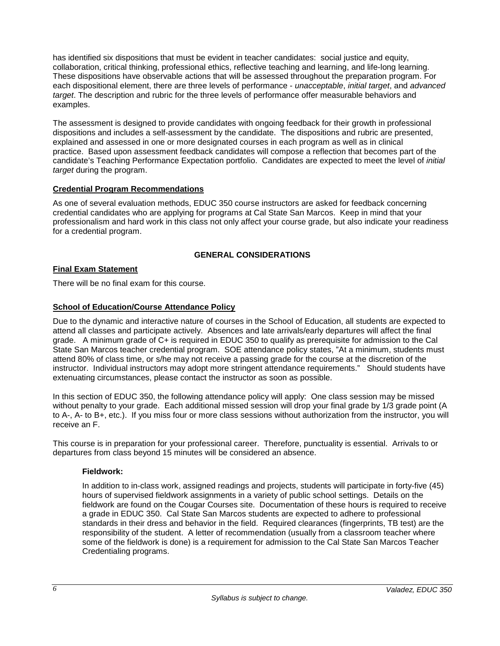has identified six dispositions that must be evident in teacher candidates: social justice and equity, collaboration, critical thinking, professional ethics, reflective teaching and learning, and life-long learning. These dispositions have observable actions that will be assessed throughout the preparation program. For each dispositional element, there are three levels of performance - *unacceptable*, *initial target*, and *advanced target*. The description and rubric for the three levels of performance offer measurable behaviors and examples.

The assessment is designed to provide candidates with ongoing feedback for their growth in professional dispositions and includes a self-assessment by the candidate. The dispositions and rubric are presented, explained and assessed in one or more designated courses in each program as well as in clinical practice. Based upon assessment feedback candidates will compose a reflection that becomes part of the candidate's Teaching Performance Expectation portfolio. Candidates are expected to meet the level of *initial target* during the program.

### **Credential Program Recommendations**

As one of several evaluation methods, EDUC 350 course instructors are asked for feedback concerning credential candidates who are applying for programs at Cal State San Marcos. Keep in mind that your professionalism and hard work in this class not only affect your course grade, but also indicate your readiness for a credential program.

## **GENERAL CONSIDERATIONS**

## **Final Exam Statement**

There will be no final exam for this course.

## **School of Education/Course Attendance Policy**

Due to the dynamic and interactive nature of courses in the School of Education, all students are expected to attend all classes and participate actively. Absences and late arrivals/early departures will affect the final grade. A minimum grade of C+ is required in EDUC 350 to qualify as prerequisite for admission to the Cal State San Marcos teacher credential program. SOE attendance policy states, "At a minimum, students must attend 80% of class time, or s/he may not receive a passing grade for the course at the discretion of the instructor. Individual instructors may adopt more stringent attendance requirements." Should students have extenuating circumstances, please contact the instructor as soon as possible.

In this section of EDUC 350, the following attendance policy will apply: One class session may be missed without penalty to your grade. Each additional missed session will drop your final grade by 1/3 grade point (A to A-, A- to B+, etc.). If you miss four or more class sessions without authorization from the instructor, you will receive an F.

This course is in preparation for your professional career. Therefore, punctuality is essential. Arrivals to or departures from class beyond 15 minutes will be considered an absence.

## **Fieldwork:**

In addition to in-class work, assigned readings and projects, students will participate in forty-five (45) hours of supervised fieldwork assignments in a variety of public school settings. Details on the fieldwork are found on the Cougar Courses site. Documentation of these hours is required to receive a grade in EDUC 350. Cal State San Marcos students are expected to adhere to professional standards in their dress and behavior in the field. Required clearances (fingerprints, TB test) are the responsibility of the student. A letter of recommendation (usually from a classroom teacher where some of the fieldwork is done) is a requirement for admission to the Cal State San Marcos Teacher Credentialing programs.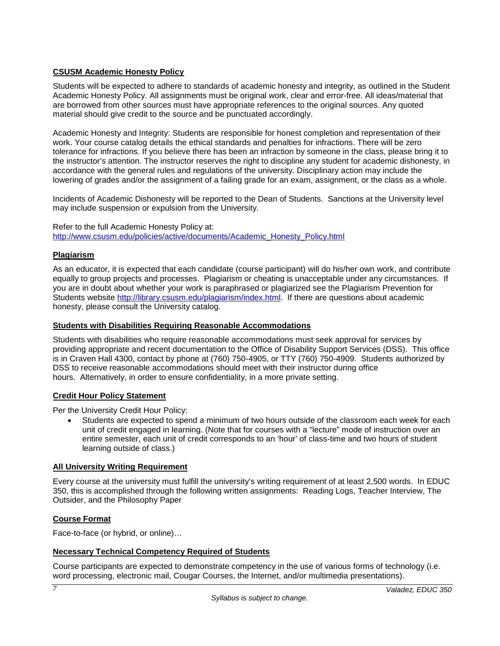## **CSUSM Academic Honesty Policy**

Students will be expected to adhere to standards of academic honesty and integrity, as outlined in the Student Academic Honesty Policy. All assignments must be original work, clear and error-free. All ideas/material that are borrowed from other sources must have appropriate references to the original sources. Any quoted material should give credit to the source and be punctuated accordingly.

Academic Honesty and Integrity: Students are responsible for honest completion and representation of their work. Your course catalog details the ethical standards and penalties for infractions. There will be zero tolerance for infractions. If you believe there has been an infraction by someone in the class, please bring it to the instructor's attention. The instructor reserves the right to discipline any student for academic dishonesty, in accordance with the general rules and regulations of the university. Disciplinary action may include the lowering of grades and/or the assignment of a failing grade for an exam, assignment, or the class as a whole.

Incidents of Academic Dishonesty will be reported to the Dean of Students. Sanctions at the University level may include suspension or expulsion from the University.

Refer to the full Academic Honesty Policy at: [http://www.csusm.edu/policies/active/documents/Academic\\_Honesty\\_Policy.html](http://www.csusm.edu/policies/active/documents/Academic_Honesty_Policy.html)

#### **Plagiarism**

As an educator, it is expected that each candidate (course participant) will do his/her own work, and contribute equally to group projects and processes. Plagiarism or cheating is unacceptable under any circumstances. If you are in doubt about whether your work is paraphrased or plagiarized see the Plagiarism Prevention for Students website [http://library.csusm.edu/plagiarism/index.html.](http://library.csusm.edu/plagiarism/index.html) If there are questions about academic honesty, please consult the University catalog.

#### **Students with Disabilities Requiring Reasonable Accommodations**

Students with disabilities who require reasonable accommodations must seek approval for services by providing appropriate and recent documentation to the Office of Disability Support Services (DSS). This office is in Craven Hall 4300, contact by phone at (760) 750-4905, or TTY (760) 750-4909. Students authorized by DSS to receive reasonable accommodations should meet with their instructor during office hours. Alternatively, in order to ensure confidentiality, in a more private setting.

#### **Credit Hour Policy Statement**

Per the University Credit Hour Policy:

• Students are expected to spend a minimum of two hours outside of the classroom each week for each unit of credit engaged in learning. (Note that for courses with a "lecture" mode of instruction over an entire semester, each unit of credit corresponds to an 'hour' of class-time and two hours of student learning outside of class.)

#### **All University Writing Requirement**

Every course at the university must fulfill the university's writing requirement of at least 2,500 words. In EDUC 350, this is accomplished through the following written assignments: Reading Logs, Teacher Interview, The Outsider, and the Philosophy Paper

#### **Course Format**

Face-to-face (or hybrid, or online)…

### **Necessary Technical Competency Required of Students**

Course participants are expected to demonstrate competency in the use of various forms of technology (i.e. word processing, electronic mail, Cougar Courses, the Internet, and/or multimedia presentations).

*7*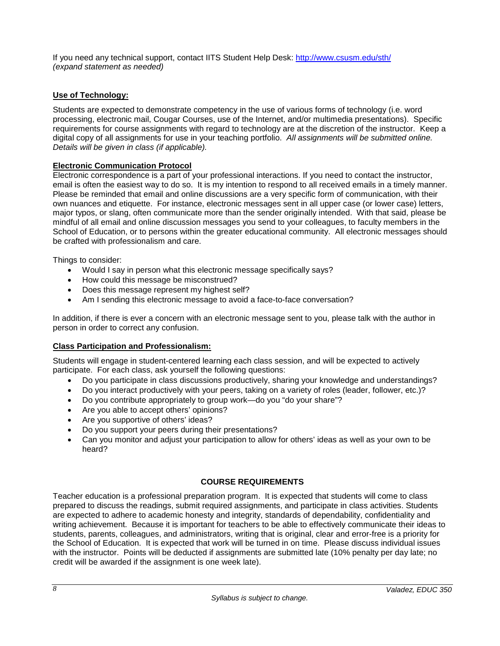If you need any technical support, contact IITS Student Help Desk: <http://www.csusm.edu/sth/> *(expand statement as needed)*

### **Use of Technology:**

Students are expected to demonstrate competency in the use of various forms of technology (i.e. word processing, electronic mail, Cougar Courses, use of the Internet, and/or multimedia presentations). Specific requirements for course assignments with regard to technology are at the discretion of the instructor. Keep a digital copy of all assignments for use in your teaching portfolio. *All assignments will be submitted online. Details will be given in class (if applicable).*

#### **Electronic Communication Protocol**

Electronic correspondence is a part of your professional interactions. If you need to contact the instructor, email is often the easiest way to do so. It is my intention to respond to all received emails in a timely manner. Please be reminded that email and online discussions are a very specific form of communication, with their own nuances and etiquette. For instance, electronic messages sent in all upper case (or lower case) letters, major typos, or slang, often communicate more than the sender originally intended. With that said, please be mindful of all email and online discussion messages you send to your colleagues, to faculty members in the School of Education, or to persons within the greater educational community. All electronic messages should be crafted with professionalism and care.

Things to consider:

- Would I say in person what this electronic message specifically says?
- How could this message be misconstrued?
- Does this message represent my highest self?
- Am I sending this electronic message to avoid a face-to-face conversation?

In addition, if there is ever a concern with an electronic message sent to you, please talk with the author in person in order to correct any confusion.

#### **Class Participation and Professionalism:**

Students will engage in student-centered learning each class session, and will be expected to actively participate. For each class, ask yourself the following questions:

- Do you participate in class discussions productively, sharing your knowledge and understandings?
- Do you interact productively with your peers, taking on a variety of roles (leader, follower, etc.)?
- Do you contribute appropriately to group work—do you "do your share"?
- Are you able to accept others' opinions?
- Are you supportive of others' ideas?
- Do you support your peers during their presentations?
- Can you monitor and adjust your participation to allow for others' ideas as well as your own to be heard?

#### **COURSE REQUIREMENTS**

Teacher education is a professional preparation program. It is expected that students will come to class prepared to discuss the readings, submit required assignments, and participate in class activities. Students are expected to adhere to academic honesty and integrity, standards of dependability, confidentiality and writing achievement. Because it is important for teachers to be able to effectively communicate their ideas to students, parents, colleagues, and administrators, writing that is original, clear and error-free is a priority for the School of Education. It is expected that work will be turned in on time. Please discuss individual issues with the instructor. Points will be deducted if assignments are submitted late (10% penalty per day late; no credit will be awarded if the assignment is one week late).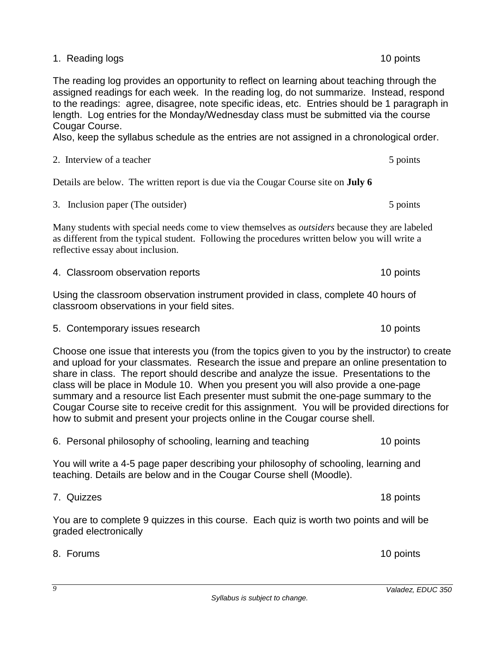1. Reading logs 10 points 10 points 10 points 10 points 10 points 10 points 10 points 10 points 10 points 10 points 10 points 10 points 10 points 10 points 10 points 10 points 10 points 10 points 10 points 10 points 10 poi

The reading log provides an opportunity to reflect on learning about teaching through the assigned readings for each week. In the reading log, do not summarize. Instead, respond to the readings: agree, disagree, note specific ideas, etc. Entries should be 1 paragraph in length. Log entries for the Monday/Wednesday class must be submitted via the course Cougar Course.

Also, keep the syllabus schedule as the entries are not assigned in a chronological order.

# 2. Interview of a teacher 5 points  $\frac{5}{2}$  points

Details are below. The written report is due via the Cougar Course site on **July 6**

3. Inclusion paper (The outsider) 5 points 5 points

Many students with special needs come to view themselves as *outsiders* because they are labeled as different from the typical student. Following the procedures written below you will write a reflective essay about inclusion.

| Using the classroom observation instrument provided in class, complete 40 hours of |
|------------------------------------------------------------------------------------|
| classroom observations in your field sites.                                        |

4. Classroom observation reports 10 points

5. Contemporary issues research 10 points

Choose one issue that interests you (from the topics given to you by the instructor) to create and upload for your classmates. Research the issue and prepare an online presentation to share in class. The report should describe and analyze the issue. Presentations to the class will be place in Module 10. When you present you will also provide a one-page summary and a resource list Each presenter must submit the one-page summary to the Cougar Course site to receive credit for this assignment. You will be provided directions for how to submit and present your projects online in the Cougar course shell.

6. Personal philosophy of schooling, learning and teaching 10 points

You will write a 4-5 page paper describing your philosophy of schooling, learning and teaching. Details are below and in the Cougar Course shell (Moodle).

# 7. Quizzes 18 points

You are to complete 9 quizzes in this course. Each quiz is worth two points and will be graded electronically

8. Forums 10 points

*9*

*Valadez, EDUC 350*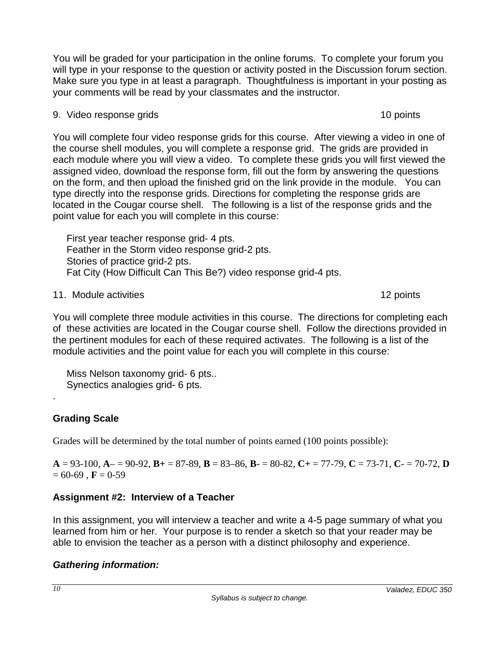You will be graded for your participation in the online forums. To complete your forum you will type in your response to the question or activity posted in the Discussion forum section. Make sure you type in at least a paragraph. Thoughtfulness is important in your posting as your comments will be read by your classmates and the instructor.

# 9. Video response grids and the set of the set of the set of the set of the set of the set of the set of the set of the set of the set of the set of the set of the set of the set of the set of the set of the set of the set

You will complete four video response grids for this course. After viewing a video in one of the course shell modules, you will complete a response grid. The grids are provided in each module where you will view a video. To complete these grids you will first viewed the assigned video, download the response form, fill out the form by answering the questions on the form, and then upload the finished grid on the link provide in the module. You can type directly into the response grids. Directions for completing the response grids are located in the Cougar course shell. The following is a list of the response grids and the point value for each you will complete in this course:

 First year teacher response grid- 4 pts. Feather in the Storm video response grid-2 pts. Stories of practice grid-2 pts. Fat City (How Difficult Can This Be?) video response grid-4 pts.

11. Module activities 12 points

You will complete three module activities in this course. The directions for completing each of these activities are located in the Cougar course shell. Follow the directions provided in the pertinent modules for each of these required activates. The following is a list of the module activities and the point value for each you will complete in this course:

 Miss Nelson taxonomy grid- 6 pts.. Synectics analogies grid- 6 pts.

# **Grading Scale**

.

Grades will be determined by the total number of points earned (100 points possible):

**A** = 93-100, **A**– = 90-92, **B+** = 87-89, **B** = 83–86, **B**- = 80-82, **C+** = 77-79, **C** = 73-71, **C**- = 70-72, **D**  $= 60-69$ , **F** = 0-59

# **Assignment #2: Interview of a Teacher**

In this assignment, you will interview a teacher and write a 4-5 page summary of what you learned from him or her. Your purpose is to render a sketch so that your reader may be able to envision the teacher as a person with a distinct philosophy and experience.

# *Gathering information:*

*10*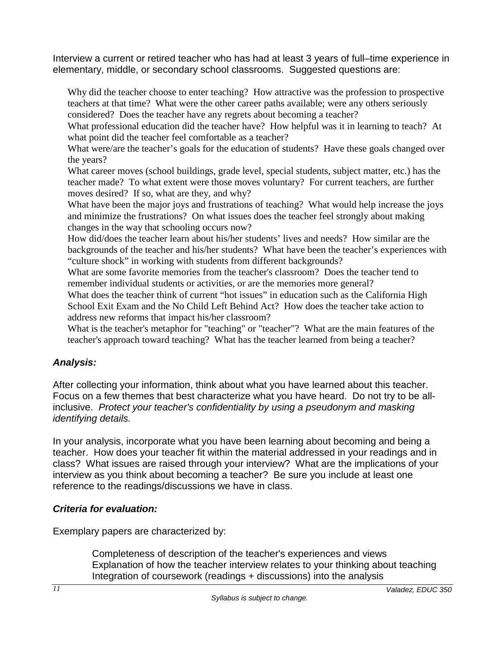Interview a current or retired teacher who has had at least 3 years of full–time experience in elementary, middle, or secondary school classrooms. Suggested questions are:

Why did the teacher choose to enter teaching? How attractive was the profession to prospective teachers at that time? What were the other career paths available; were any others seriously considered? Does the teacher have any regrets about becoming a teacher?

What professional education did the teacher have? How helpful was it in learning to teach? At what point did the teacher feel comfortable as a teacher?

What were/are the teacher's goals for the education of students? Have these goals changed over the years?

What career moves (school buildings, grade level, special students, subject matter, etc.) has the teacher made? To what extent were those moves voluntary? For current teachers, are further moves desired? If so, what are they, and why?

What have been the major joys and frustrations of teaching? What would help increase the joys and minimize the frustrations? On what issues does the teacher feel strongly about making changes in the way that schooling occurs now?

How did/does the teacher learn about his/her students' lives and needs? How similar are the backgrounds of the teacher and his/her students? What have been the teacher's experiences with "culture shock" in working with students from different backgrounds?

What are some favorite memories from the teacher's classroom? Does the teacher tend to remember individual students or activities, or are the memories more general?

What does the teacher think of current "hot issues" in education such as the California High School Exit Exam and the No Child Left Behind Act? How does the teacher take action to address new reforms that impact his/her classroom?

What is the teacher's metaphor for "teaching" or "teacher"? What are the main features of the teacher's approach toward teaching? What has the teacher learned from being a teacher?

# *Analysis:*

After collecting your information, think about what you have learned about this teacher. Focus on a few themes that best characterize what you have heard. Do not try to be allinclusive. *Protect your teacher's confidentiality by using a pseudonym and masking identifying details.*

In your analysis, incorporate what you have been learning about becoming and being a teacher. How does your teacher fit within the material addressed in your readings and in class? What issues are raised through your interview? What are the implications of your interview as you think about becoming a teacher? Be sure you include at least one reference to the readings/discussions we have in class.

# *Criteria for evaluation:*

Exemplary papers are characterized by:

Completeness of description of the teacher's experiences and views Explanation of how the teacher interview relates to your thinking about teaching Integration of coursework (readings + discussions) into the analysis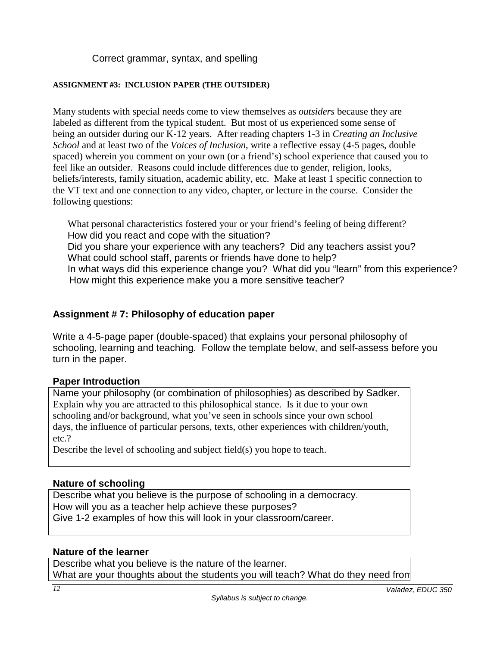Correct grammar, syntax, and spelling

## **ASSIGNMENT #3: INCLUSION PAPER (THE OUTSIDER)**

Many students with special needs come to view themselves as *outsiders* because they are labeled as different from the typical student. But most of us experienced some sense of being an outsider during our K-12 years. After reading chapters 1-3 in *Creating an Inclusive School* and at least two of the *Voices of Inclusion*, write a reflective essay (4-5 pages, double spaced) wherein you comment on your own (or a friend's) school experience that caused you to feel like an outsider. Reasons could include differences due to gender, religion, looks, beliefs/interests, family situation, academic ability, etc. Make at least 1 specific connection to the VT text and one connection to any video, chapter, or lecture in the course. Consider the following questions:

 What personal characteristics fostered your or your friend's feeling of being different? How did you react and cope with the situation? Did you share your experience with any teachers? Did any teachers assist you? What could school staff, parents or friends have done to help? In what ways did this experience change you? What did you "learn" from this experience? How might this experience make you a more sensitive teacher?

# **Assignment # 7: Philosophy of education paper**

Write a 4-5-page paper (double-spaced) that explains your personal philosophy of schooling, learning and teaching. Follow the template below, and self-assess before you turn in the paper.

# **Paper Introduction**

Name your philosophy (or combination of philosophies) as described by Sadker. Explain why you are attracted to this philosophical stance. Is it due to your own schooling and/or background, what you've seen in schools since your own school days, the influence of particular persons, texts, other experiences with children/youth, etc.?

Describe the level of schooling and subject field(s) you hope to teach.

# **Nature of schooling**

Describe what you believe is the purpose of schooling in a democracy. How will you as a teacher help achieve these purposes? Give 1-2 examples of how this will look in your classroom/career.

# **Nature of the learner**

Describe what you believe is the nature of the learner. What are your thoughts about the students you will teach? What do they need from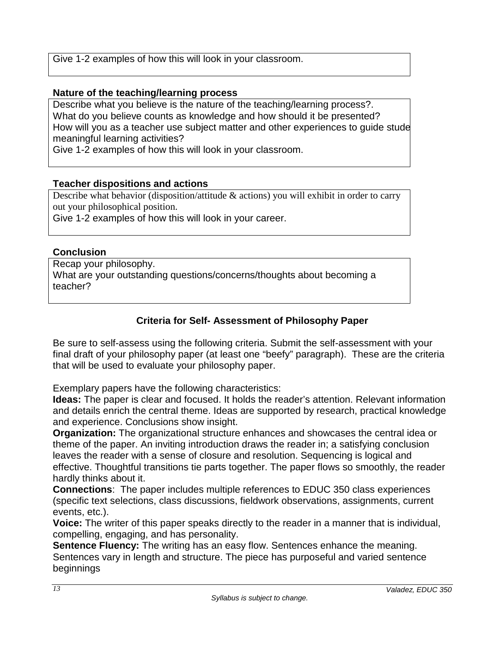Give 1-2 examples of how this will look in your classroom.

# **Nature of the teaching/learning process**

Describe what you believe is the nature of the teaching/learning process?. What do you believe counts as knowledge and how should it be presented? How will you as a teacher use subject matter and other experiences to guide stude meaningful learning activities?

Give 1-2 examples of how this will look in your classroom.

# **Teacher dispositions and actions**

Describe what behavior (disposition/attitude & actions) you will exhibit in order to carry out your philosophical position.

Give 1-2 examples of how this will look in your career.

# **Conclusion**

Recap your philosophy. What are your outstanding questions/concerns/thoughts about becoming a teacher?

# **Criteria for Self- Assessment of Philosophy Paper**

Be sure to self-assess using the following criteria. Submit the self-assessment with your final draft of your philosophy paper (at least one "beefy" paragraph). These are the criteria that will be used to evaluate your philosophy paper.

Exemplary papers have the following characteristics:

**Ideas:** The paper is clear and focused. It holds the reader's attention. Relevant information and details enrich the central theme. Ideas are supported by research, practical knowledge and experience. Conclusions show insight.

**Organization:** The organizational structure enhances and showcases the central idea or theme of the paper. An inviting introduction draws the reader in; a satisfying conclusion leaves the reader with a sense of closure and resolution. Sequencing is logical and effective. Thoughtful transitions tie parts together. The paper flows so smoothly, the reader hardly thinks about it.

**Connections**: The paper includes multiple references to EDUC 350 class experiences (specific text selections, class discussions, fieldwork observations, assignments, current events, etc.).

**Voice:** The writer of this paper speaks directly to the reader in a manner that is individual, compelling, engaging, and has personality.

**Sentence Fluency:** The writing has an easy flow. Sentences enhance the meaning. Sentences vary in length and structure. The piece has purposeful and varied sentence beginnings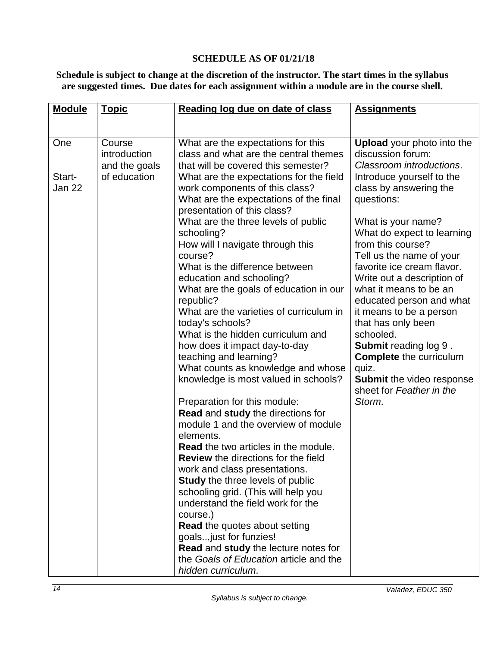## **SCHEDULE AS OF 01/21/18**

**Schedule is subject to change at the discretion of the instructor. The start times in the syllabus are suggested times. Due dates for each assignment within a module are in the course shell.** 

| <b>Module</b>    | <b>Topic</b>                            | Reading log due on date of class                                                                                                                     | <b>Assignments</b>                                                                                             |
|------------------|-----------------------------------------|------------------------------------------------------------------------------------------------------------------------------------------------------|----------------------------------------------------------------------------------------------------------------|
|                  |                                         |                                                                                                                                                      |                                                                                                                |
| One              | Course<br>introduction<br>and the goals | What are the expectations for this<br>class and what are the central themes<br>that will be covered this semester?                                   | <b>Upload</b> your photo into the<br>discussion forum:<br>Classroom introductions.                             |
| Start-<br>Jan 22 | of education                            | What are the expectations for the field<br>work components of this class?<br>What are the expectations of the final<br>presentation of this class?   | Introduce yourself to the<br>class by answering the<br>questions:                                              |
|                  |                                         | What are the three levels of public<br>schooling?<br>How will I navigate through this                                                                | What is your name?<br>What do expect to learning<br>from this course?                                          |
|                  |                                         | course?<br>What is the difference between<br>education and schooling?<br>What are the goals of education in our                                      | Tell us the name of your<br>favorite ice cream flavor.<br>Write out a description of<br>what it means to be an |
|                  |                                         | republic?<br>What are the varieties of curriculum in<br>today's schools?                                                                             | educated person and what<br>it means to be a person<br>that has only been                                      |
|                  |                                         | What is the hidden curriculum and<br>how does it impact day-to-day<br>teaching and learning?                                                         | schooled.<br><b>Submit reading log 9.</b><br><b>Complete</b> the curriculum                                    |
|                  |                                         | What counts as knowledge and whose<br>knowledge is most valued in schools?                                                                           | quiz.<br><b>Submit the video response</b><br>sheet for Feather in the                                          |
|                  |                                         | Preparation for this module:<br><b>Read and study the directions for</b><br>module 1 and the overview of module                                      | Storm.                                                                                                         |
|                  |                                         | elements.<br><b>Read</b> the two articles in the module.<br><b>Review</b> the directions for the field                                               |                                                                                                                |
|                  |                                         | work and class presentations.<br><b>Study</b> the three levels of public<br>schooling grid. (This will help you<br>understand the field work for the |                                                                                                                |
|                  |                                         | course.)<br><b>Read the quotes about setting</b><br>goals just for funzies!                                                                          |                                                                                                                |
|                  |                                         | Read and study the lecture notes for<br>the Goals of Education article and the<br>hidden curriculum.                                                 |                                                                                                                |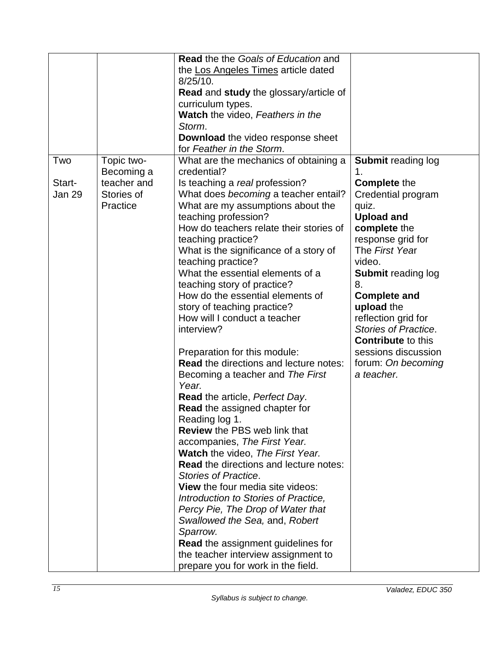|        |             | <b>Read the the Goals of Education and</b>                      |                                   |
|--------|-------------|-----------------------------------------------------------------|-----------------------------------|
|        |             | the Los Angeles Times article dated                             |                                   |
|        |             | $8/25/10$ .                                                     |                                   |
|        |             | <b>Read and study the glossary/article of</b>                   |                                   |
|        |             | curriculum types.                                               |                                   |
|        |             | <b>Watch</b> the video, Feathers in the                         |                                   |
|        |             | Storm.                                                          |                                   |
|        |             | <b>Download the video response sheet</b>                        |                                   |
|        |             | for Feather in the Storm.                                       |                                   |
| Two    | Topic two-  | What are the mechanics of obtaining a                           | <b>Submit reading log</b>         |
|        | Becoming a  | credential?                                                     | 1.                                |
| Start- | teacher and | Is teaching a real profession?                                  | <b>Complete the</b>               |
| Jan 29 | Stories of  | What does becoming a teacher entail?                            | Credential program                |
|        | Practice    | What are my assumptions about the                               | quiz.                             |
|        |             | teaching profession?<br>How do teachers relate their stories of | <b>Upload and</b>                 |
|        |             | teaching practice?                                              | complete the<br>response grid for |
|        |             | What is the significance of a story of                          | The First Year                    |
|        |             | teaching practice?                                              | video.                            |
|        |             | What the essential elements of a                                | <b>Submit reading log</b>         |
|        |             | teaching story of practice?                                     | 8.                                |
|        |             | How do the essential elements of                                | <b>Complete and</b>               |
|        |             | story of teaching practice?                                     | upload the                        |
|        |             | How will I conduct a teacher                                    | reflection grid for               |
|        |             | interview?                                                      | <b>Stories of Practice.</b>       |
|        |             |                                                                 | <b>Contribute to this</b>         |
|        |             | Preparation for this module:                                    | sessions discussion               |
|        |             | <b>Read the directions and lecture notes:</b>                   | forum: On becoming                |
|        |             | Becoming a teacher and The First                                | a teacher.                        |
|        |             | Year.                                                           |                                   |
|        |             | <b>Read the article, Perfect Day.</b>                           |                                   |
|        |             | <b>Read the assigned chapter for</b>                            |                                   |
|        |             | Reading log 1.                                                  |                                   |
|        |             | <b>Review</b> the PBS web link that                             |                                   |
|        |             | accompanies, The First Year.                                    |                                   |
|        |             | Watch the video, The First Year.                                |                                   |
|        |             | <b>Read the directions and lecture notes:</b>                   |                                   |
|        |             | Stories of Practice.                                            |                                   |
|        |             | <b>View</b> the four media site videos:                         |                                   |
|        |             | Introduction to Stories of Practice,                            |                                   |
|        |             | Percy Pie, The Drop of Water that                               |                                   |
|        |             | Swallowed the Sea, and, Robert                                  |                                   |
|        |             | Sparrow.                                                        |                                   |
|        |             | <b>Read the assignment guidelines for</b>                       |                                   |
|        |             | the teacher interview assignment to                             |                                   |
|        |             | prepare you for work in the field.                              |                                   |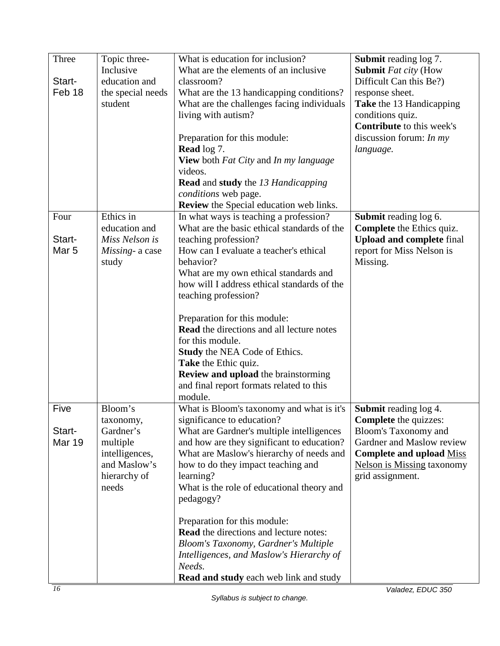| Three            | Topic three-                   | What is education for inclusion?                                               | Submit reading log 7.                                         |
|------------------|--------------------------------|--------------------------------------------------------------------------------|---------------------------------------------------------------|
|                  | Inclusive                      | What are the elements of an inclusive                                          | <b>Submit Fat city (How</b>                                   |
| Start-           | education and                  | classroom?                                                                     | Difficult Can this Be?)                                       |
| Feb 18           | the special needs              | What are the 13 handicapping conditions?                                       | response sheet.                                               |
|                  | student                        | What are the challenges facing individuals                                     | Take the 13 Handicapping                                      |
|                  |                                | living with autism?                                                            | conditions quiz.<br><b>Contribute</b> to this week's          |
|                  |                                | Preparation for this module:                                                   | discussion forum: $In my$                                     |
|                  |                                | <b>Read</b> log 7.                                                             | language.                                                     |
|                  |                                | View both Fat City and In my language                                          |                                                               |
|                  |                                | videos.                                                                        |                                                               |
|                  |                                | <b>Read and study</b> the 13 Handicapping                                      |                                                               |
|                  |                                | conditions web page.                                                           |                                                               |
|                  |                                | <b>Review</b> the Special education web links.                                 |                                                               |
| Four             | Ethics in                      | In what ways is teaching a profession?                                         | Submit reading log 6.                                         |
|                  | education and                  | What are the basic ethical standards of the                                    | <b>Complete</b> the Ethics quiz.                              |
| Start-           | Miss Nelson is                 | teaching profession?                                                           | <b>Upload and complete final</b>                              |
| Mar <sub>5</sub> | Missing- a case                | How can I evaluate a teacher's ethical                                         | report for Miss Nelson is                                     |
|                  | study                          | behavior?                                                                      | Missing.                                                      |
|                  |                                | What are my own ethical standards and                                          |                                                               |
|                  |                                | how will I address ethical standards of the                                    |                                                               |
|                  |                                | teaching profession?                                                           |                                                               |
|                  |                                | Preparation for this module:                                                   |                                                               |
|                  |                                | <b>Read</b> the directions and all lecture notes                               |                                                               |
|                  |                                | for this module.                                                               |                                                               |
|                  |                                | <b>Study</b> the NEA Code of Ethics.                                           |                                                               |
|                  |                                | Take the Ethic quiz.                                                           |                                                               |
|                  |                                | Review and upload the brainstorming                                            |                                                               |
|                  |                                | and final report formats related to this                                       |                                                               |
|                  |                                | module.                                                                        |                                                               |
| Five             | Bloom's                        | What is Bloom's taxonomy and what is it's                                      | <b>Submit reading log 4.</b>                                  |
|                  | taxonomy,                      | significance to education?                                                     | <b>Complete</b> the quizzes:                                  |
| Start-           | Gardner's                      | What are Gardner's multiple intelligences                                      | <b>Bloom's Taxonomy and</b>                                   |
| Mar 19           | multiple                       | and how are they significant to education?                                     | Gardner and Maslow review                                     |
|                  | intelligences,<br>and Maslow's | What are Maslow's hierarchy of needs and<br>how to do they impact teaching and | <b>Complete and upload Miss</b><br>Nelson is Missing taxonomy |
|                  | hierarchy of                   | learning?                                                                      | grid assignment.                                              |
|                  | needs                          | What is the role of educational theory and                                     |                                                               |
|                  |                                | pedagogy?                                                                      |                                                               |
|                  |                                |                                                                                |                                                               |
|                  |                                | Preparation for this module:                                                   |                                                               |
|                  |                                | <b>Read</b> the directions and lecture notes:                                  |                                                               |
|                  |                                | Bloom's Taxonomy, Gardner's Multiple                                           |                                                               |
|                  |                                | Intelligences, and Maslow's Hierarchy of                                       |                                                               |
|                  |                                | Needs.                                                                         |                                                               |
|                  |                                | Read and study each web link and study                                         |                                                               |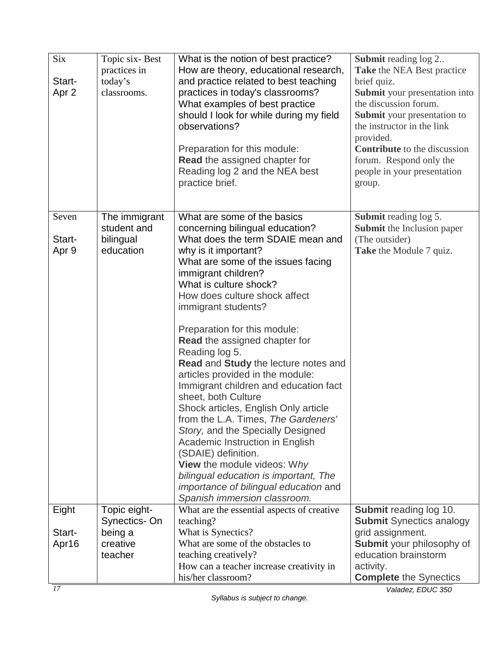| <b>Six</b><br>Start-<br>Apr 2 | Topic six-Best<br>practices in<br>today's<br>classrooms. | What is the notion of best practice?<br>How are theory, educational research,<br>and practice related to best teaching<br>practices in today's classrooms?<br>What examples of best practice<br>should I look for while during my field<br>observations?                                                                                                                                                                                                                                                                                                                                                                                                                                                                                                                                                                                               | <b>Submit reading log 2</b><br>Take the NEA Best practice<br>brief quiz.<br><b>Submit</b> your presentation into<br>the discussion forum.<br><b>Submit</b> your presentation to<br>the instructor in the link |
|-------------------------------|----------------------------------------------------------|--------------------------------------------------------------------------------------------------------------------------------------------------------------------------------------------------------------------------------------------------------------------------------------------------------------------------------------------------------------------------------------------------------------------------------------------------------------------------------------------------------------------------------------------------------------------------------------------------------------------------------------------------------------------------------------------------------------------------------------------------------------------------------------------------------------------------------------------------------|---------------------------------------------------------------------------------------------------------------------------------------------------------------------------------------------------------------|
|                               |                                                          | Preparation for this module:<br><b>Read the assigned chapter for</b><br>Reading log 2 and the NEA best<br>practice brief.                                                                                                                                                                                                                                                                                                                                                                                                                                                                                                                                                                                                                                                                                                                              | provided.<br><b>Contribute</b> to the discussion<br>forum. Respond only the<br>people in your presentation<br>group.                                                                                          |
| Seven<br>Start-<br>Apr 9      | The immigrant<br>student and<br>bilingual<br>education   | What are some of the basics<br>concerning bilingual education?<br>What does the term SDAIE mean and<br>why is it important?<br>What are some of the issues facing<br>immigrant children?<br>What is culture shock?<br>How does culture shock affect<br>immigrant students?<br>Preparation for this module:<br><b>Read</b> the assigned chapter for<br>Reading log 5.<br>Read and Study the lecture notes and<br>articles provided in the module:<br>Immigrant children and education fact<br>sheet, both Culture<br>Shock articles, English Only article<br>from the L.A. Times, The Gardeners'<br>Story, and the Specially Designed<br>Academic Instruction in English<br>(SDAIE) definition.<br>View the module videos: Why<br>bilingual education is important, The<br><i>importance of bilingual education and</i><br>Spanish immersion classroom. | <b>Submit reading log 5.</b><br><b>Submit</b> the Inclusion paper<br>(The outsider)<br>Take the Module 7 quiz.                                                                                                |
| Eight                         | Topic eight-<br>Synectics-On                             | What are the essential aspects of creative<br>teaching?                                                                                                                                                                                                                                                                                                                                                                                                                                                                                                                                                                                                                                                                                                                                                                                                | <b>Submit reading log 10.</b><br><b>Submit Synectics analogy</b>                                                                                                                                              |
| Start-<br>Apr16               | being a<br>creative<br>teacher                           | What is Synectics?<br>What are some of the obstacles to<br>teaching creatively?<br>How can a teacher increase creativity in<br>his/her classroom?                                                                                                                                                                                                                                                                                                                                                                                                                                                                                                                                                                                                                                                                                                      | grid assignment.<br>Submit your philosophy of<br>education brainstorm<br>activity.<br><b>Complete the Synectics</b>                                                                                           |